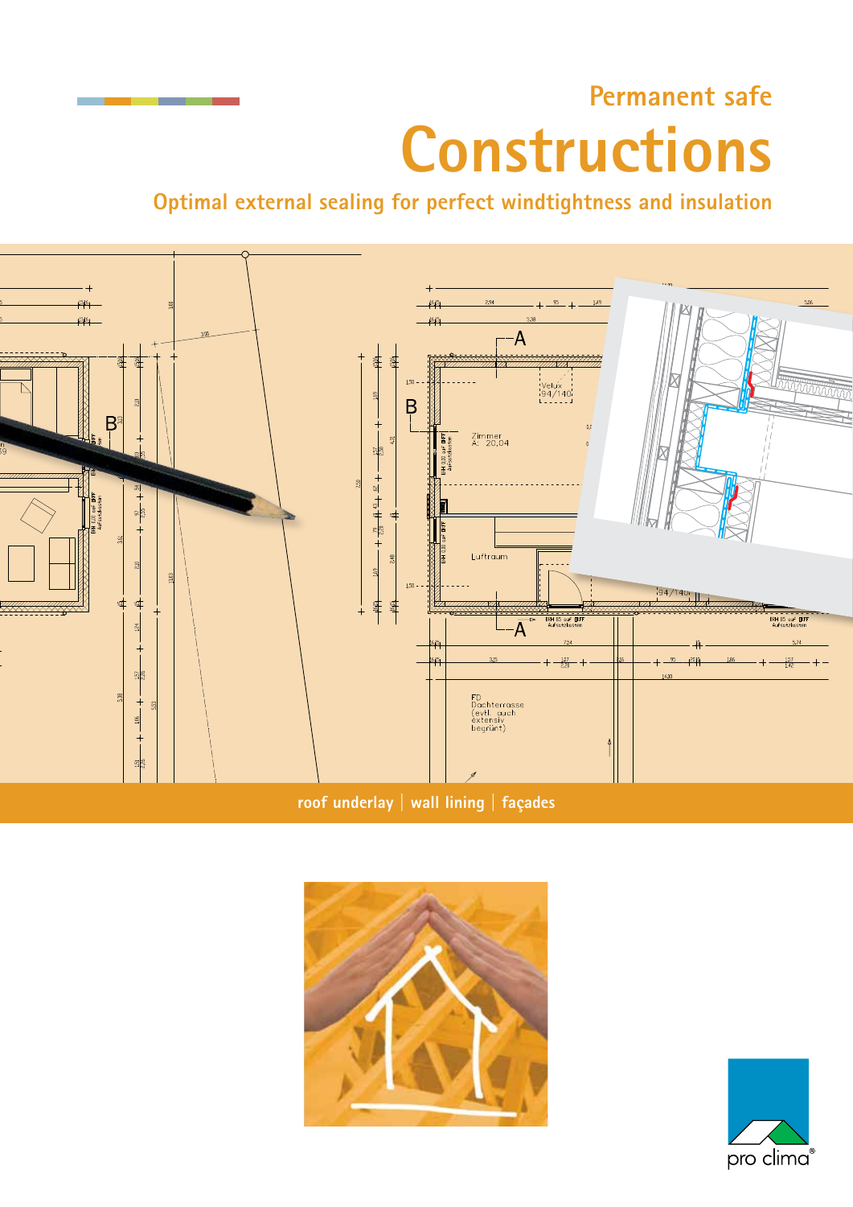# **Permanent safe Constructions**

**Optimal external sealing for perfect windtightness and insulation**





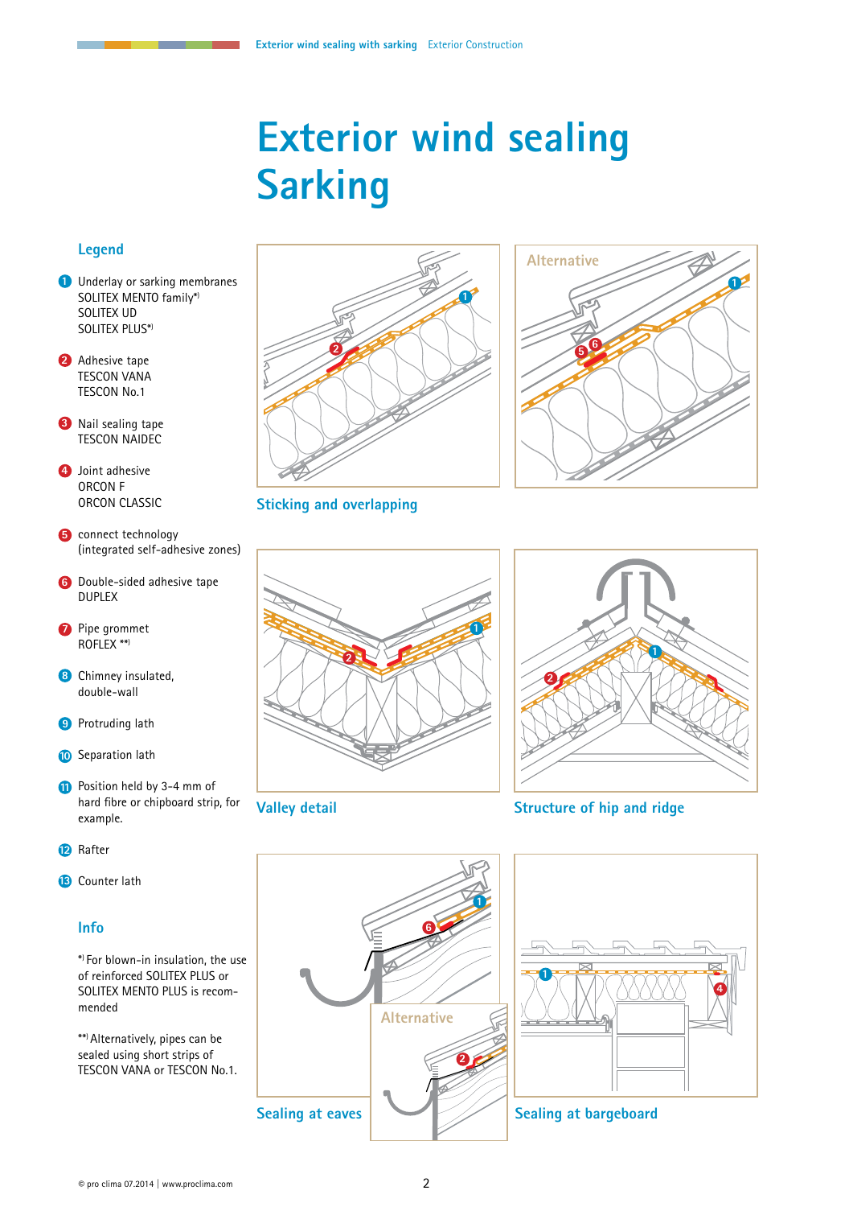## **Exterior wind sealing Sarking**

#### **Legend**

- **1** Underlay or sarking membranes SOLITEX MENTO family\*) SOLITEX UD SOLITEX PLUS\*)
- 2 Adhesive tape TESCON VANA TESCON No.1
- Nail sealing tape **3** TESCON NAIDEC
- Joint adhesive **4**  ORCON F ORCON CLASSIC
- **5** connect technology (integrated self-adhesive zones)
- **6** Double-sided adhesive tape DUPLEX
- **7** Pipe grommet ROFLEX \*\*)
- Chimney insulated, **8** double-wall
- **9** Protruding lath
- **10** Separation lath
- **11** Position held by 3-4 mm of hard fibre or chipboard strip, for example.
- **12** Rafter
- **13** Counter lath

#### **Info**

\* ) For blown-in insulation, the use of reinforced SOLITEX PLUS or SOLITEX MENTO PLUS is recommended

\*\*) Alternatively, pipes can be sealed using short strips of TESCON VANA or TESCON No.1.





**Sticking and overlapping**

**Valley detail**





**Structure of hip and ridge**

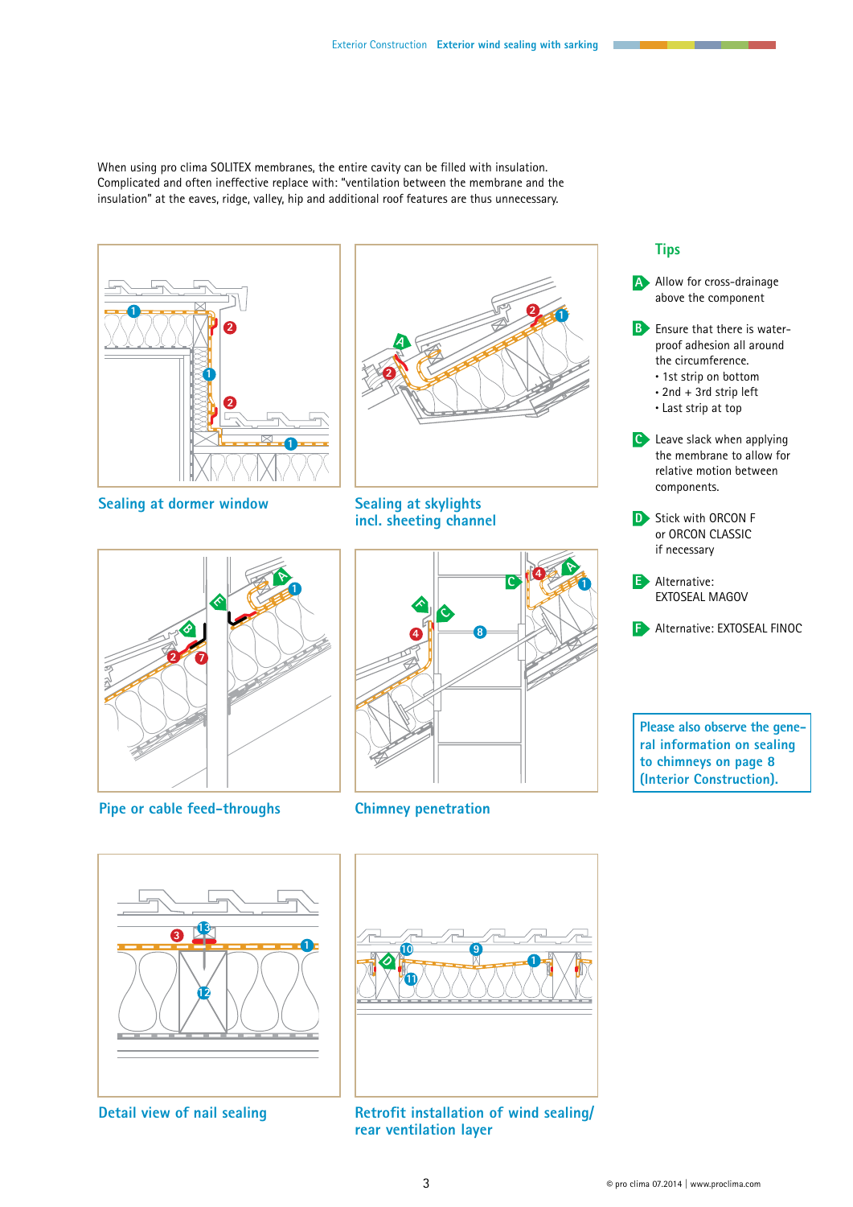When using pro clima SOLITEX membranes, the entire cavity can be filled with insulation. Complicated and often ineffective replace with: "ventilation between the membrane and the insulation" at the eaves, ridge, valley, hip and additional roof features are thus unnecessary.



**Sealing at dormer window**



**Pipe or cable feed-throughs**



**Sealing at skylights incl. sheeting channel** 





**Tips**

**A** Allow for cross-drainage above the component

**B** Ensure that there is waterproof adhesion all around the circumference. • 1st strip on bottom  $\cdot$  2nd + 3rd strip left • Last strip at top

**C** Leave slack when applying the membrane to allow for relative motion between

components.

**E** Alternative:

**D** Stick with ORCON F or ORCON CLASSIC if necessary

EXTOSEAL MAGOV

**F** Alternative: EXTOSEAL FINOC



**Detail view of nail sealing**



**Chimney penetration**



**Retrofit installation of wind sealing/ rear ventilation layer**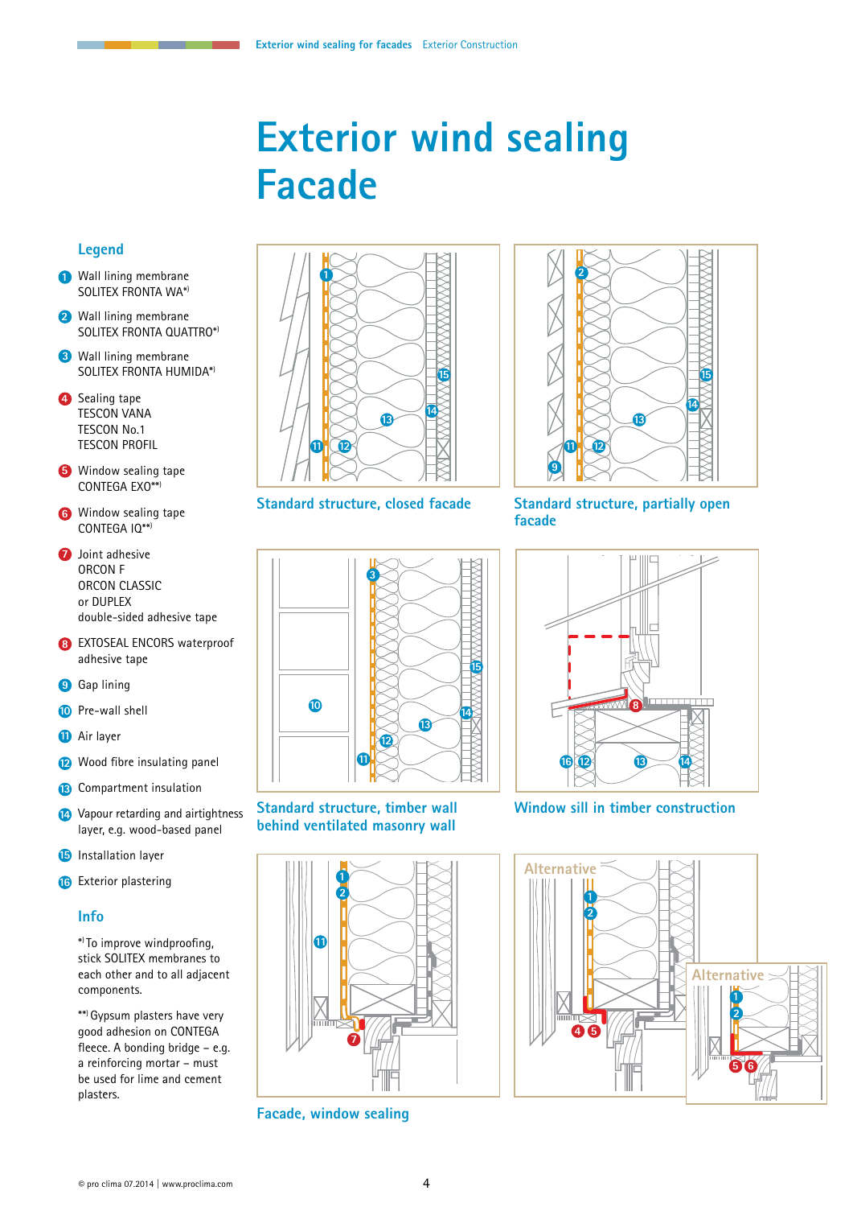## **Exterior wind sealing Facade**

#### **Legend**

- **1** Wall lining membrane SOLITEX FRONTA WA\*)
- Wall lining membrane **2** SOLITEX FRONTA QUATTRO\* )
- Wall lining membrane **3** SOLITEX FRONTA HUMIDA\* )
- **4** Sealing tape TESCON VANA TESCON No.1 TESCON PROFIL
- Window sealing tape **5**  CONTEGA EXO\*\*)
- Window sealing tape **6** CONTEGA IQ\*\*)
- **7** Joint adhesive ORCON F ORCON CLASSIC or DUPLEX double-sided adhesive tape
- **8** EXTOSEAL ENCORS waterproof adhesive tape
- **9** Gap lining
- **10** Pre-wall shell
- **11** Air layer
- **12** Wood fibre insulating panel
- Compartment insulation **13**
- Vapour retarding and airtightness **14** layer, e.g. wood-based panel
- **15** Installation layer
- **16** Exterior plastering

#### **Info**

\* ) To improve windproofing, stick SOLITEX membranes to each other and to all adjacent components.

\*\*) Gypsum plasters have very good adhesion on CONTEGA fleece. A bonding bridge – e.g. a reinforcing mortar – must be used for lime and cement plasters.





**Standard structure, closed facade**







**Facade, window sealing**

**Standard structure, partially open facade**



**Window sill in timber construction**

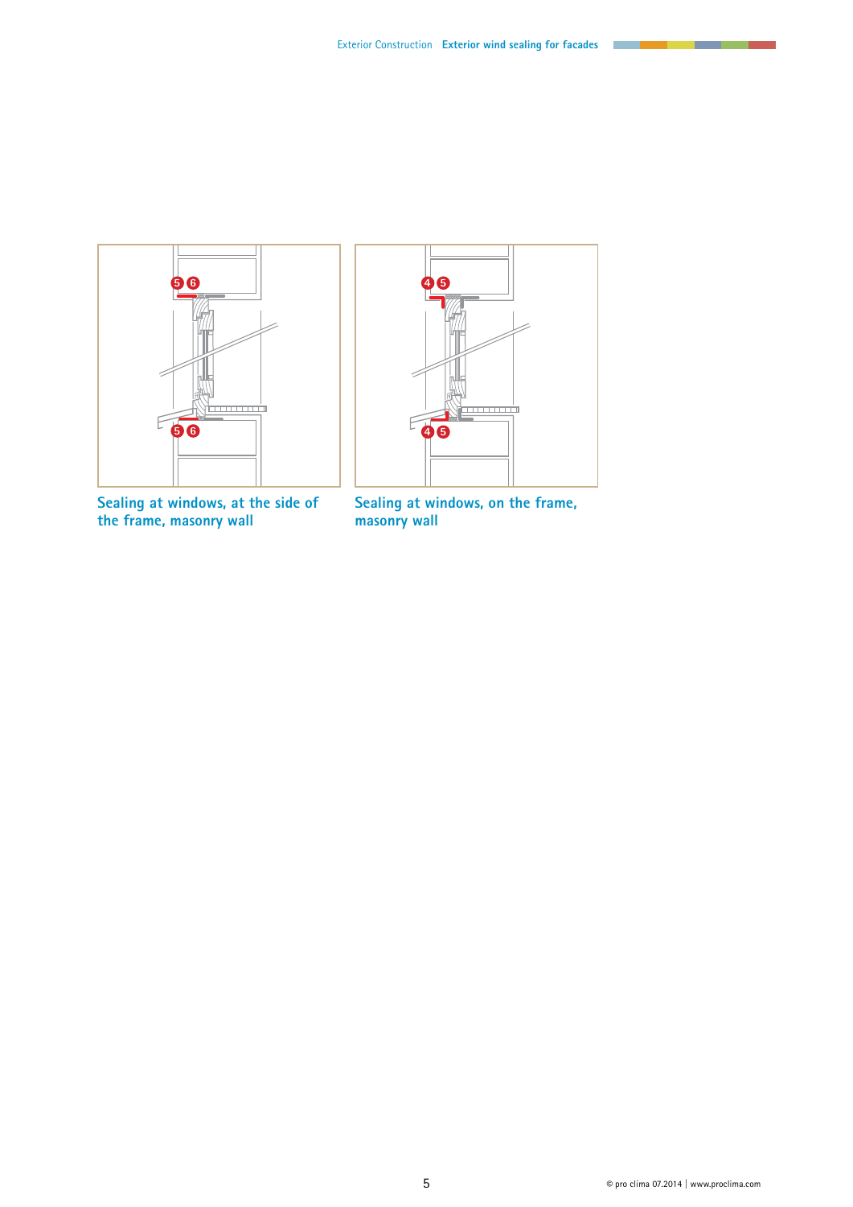**Contract** 



**Sealing at windows, at the side of the frame, masonry wall**



**Sealing at windows, on the frame, masonry wall**